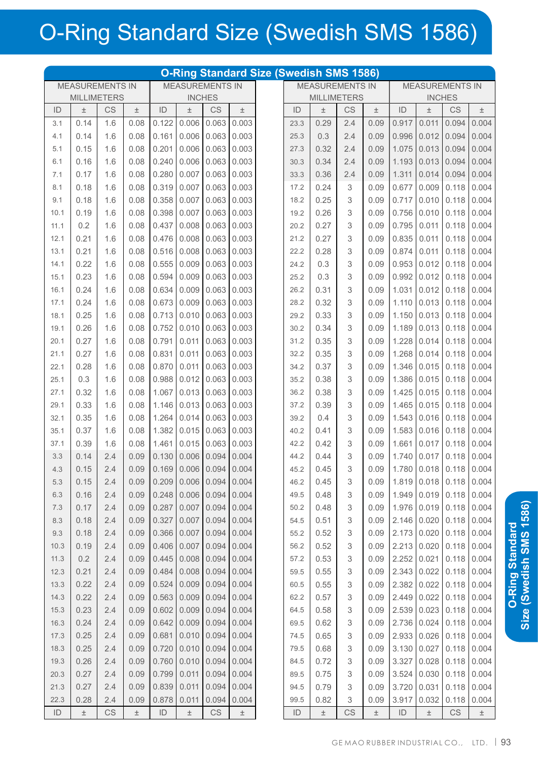## O-Ring Standard Size (Swedish SMS 1586)

| <b>O-Ring Standard Size (Swedish SMS 1586)</b>   |       |           |       |                           |       |           |                                                  |  |                    |       |           |               |       |                         |       |       |
|--------------------------------------------------|-------|-----------|-------|---------------------------|-------|-----------|--------------------------------------------------|--|--------------------|-------|-----------|---------------|-------|-------------------------|-------|-------|
| <b>MEASUREMENTS IN</b><br><b>MEASUREMENTS IN</b> |       |           |       |                           |       |           | <b>MEASUREMENTS IN</b><br><b>MEASUREMENTS IN</b> |  |                    |       |           |               |       |                         |       |       |
| <b>MILLIMETERS</b>                               |       |           |       | <b>INCHES</b>             |       |           |                                                  |  | <b>MILLIMETERS</b> |       |           | <b>INCHES</b> |       |                         |       |       |
| ID                                               | $\pm$ | <b>CS</b> | $\pm$ | ID                        | $\pm$ | <b>CS</b> | $\pm$                                            |  | ID                 | $\pm$ | <b>CS</b> | $\pm$         | ID    | $\pm$                   | CS    | $\pm$ |
| 3.1                                              | 0.14  | 1.6       | 0.08  | 0.122                     | 0.006 | 0.063     | 0.003                                            |  | 23.3               | 0.29  | 2.4       | 0.09          | 0.917 | 0.011                   | 0.094 | 0.004 |
| 4.1                                              | 0.14  | 1.6       | 0.08  | 0.161                     | 0.006 | 0.063     | 0.003                                            |  | 25.3               | 0.3   | 2.4       | 0.09          | 0.996 | 0.012                   | 0.094 | 0.004 |
| 5.1                                              | 0.15  | 1.6       | 0.08  | 0.201                     | 0.006 | 0.063     | 0.003                                            |  | 27.3               | 0.32  | 2.4       | 0.09          | 1.075 | 0.013                   | 0.094 | 0.004 |
| 6.1                                              | 0.16  | 1.6       | 0.08  | 0.240                     | 0.006 | 0.063     | 0.003                                            |  | 30.3               | 0.34  | 2.4       | 0.09          | 1.193 | 0.013                   | 0.094 | 0.004 |
| 7.1                                              | 0.17  | 1.6       | 0.08  | 0.280                     | 0.007 | 0.063     | 0.003                                            |  | 33.3               | 0.36  | 2.4       | 0.09          | 1.311 | 0.014                   | 0.094 | 0.004 |
| 8.1                                              | 0.18  | 1.6       | 0.08  | 0.319                     | 0.007 | 0.063     | 0.003                                            |  | 17.2               | 0.24  | 3         | 0.09          | 0.677 | 0.009                   | 0.118 | 0.004 |
| 9.1                                              | 0.18  | 1.6       | 0.08  | 0.358                     | 0.007 | 0.063     | 0.003                                            |  | 18.2               | 0.25  | 3         | 0.09          | 0.717 | 0.010                   | 0.118 | 0.004 |
| 10.1                                             | 0.19  | 1.6       | 0.08  | 0.398                     | 0.007 | 0.063     | 0.003                                            |  | 19.2               | 0.26  | 3         | 0.09          | 0.756 | 0.010                   | 0.118 | 0.004 |
| 11.1                                             | 0.2   | 1.6       | 0.08  | 0.437                     | 0.008 | 0.063     | 0.003                                            |  | 20.2               | 0.27  | 3         | 0.09          | 0.795 | 0.011                   | 0.118 | 0.004 |
| 12.1                                             | 0.21  | 1.6       | 0.08  | 0.476                     | 0.008 | 0.063     | 0.003                                            |  | 21.2               | 0.27  | 3         | 0.09          | 0.835 | 0.011                   | 0.118 | 0.004 |
| 13.1                                             | 0.21  | 1.6       | 0.08  | 0.516                     | 0.008 | 0.063     | 0.003                                            |  | 22.2               | 0.28  | 3         | 0.09          | 0.874 | 0.011                   | 0.118 | 0.004 |
| 14.1                                             | 0.22  | 1.6       | 0.08  | 0.555                     | 0.009 | 0.063     | 0.003                                            |  | 24.2               | 0.3   | 3         | 0.09          | 0.953 | 0.012                   | 0.118 | 0.004 |
| 15.1                                             | 0.23  | 1.6       | 0.08  | 0.594                     | 0.009 | 0.063     | 0.003                                            |  | 25.2               | 0.3   | 3         | 0.09          | 0.992 | 0.012                   | 0.118 | 0.004 |
| 16.1                                             | 0.24  | 1.6       | 0.08  | 0.634                     | 0.009 | 0.063     | 0.003                                            |  | 26.2               | 0.31  | 3         | 0.09          | 1.031 | 0.012                   | 0.118 | 0.004 |
| 17.1                                             | 0.24  | 1.6       | 0.08  | 0.673                     | 0.009 | 0.063     | 0.003                                            |  | 28.2               | 0.32  | 3         | 0.09          | 1.110 | 0.013                   | 0.118 | 0.004 |
| 18.1                                             | 0.25  | 1.6       | 0.08  | 0.713                     | 0.010 | 0.063     | 0.003                                            |  | 29.2               | 0.33  | 3         | 0.09          | 1.150 | 0.013                   | 0.118 | 0.004 |
| 19.1                                             | 0.26  | 1.6       | 0.08  | 0.752                     | 0.010 | 0.063     | 0.003                                            |  | 30.2               | 0.34  | 3         | 0.09          | 1.189 | 0.013                   | 0.118 | 0.004 |
| 20.1                                             | 0.27  | 1.6       | 0.08  | 0.791                     | 0.011 | 0.063     | 0.003                                            |  | 31.2               | 0.35  | 3         | 0.09          | 1.228 | 0.014                   | 0.118 | 0.004 |
| 21.1                                             | 0.27  | 1.6       | 0.08  | 0.831                     | 0.011 | 0.063     | 0.003                                            |  | 32.2               | 0.35  | 3         | 0.09          | 1.268 | 0.014                   | 0.118 | 0.004 |
| 22.1                                             | 0.28  | 1.6       | 0.08  | 0.870                     | 0.011 | 0.063     | 0.003                                            |  | 34.2               | 0.37  | 3         | 0.09          | 1.346 | 0.015                   | 0.118 | 0.004 |
| 25.1                                             | 0.3   | 1.6       | 0.08  | 0.988                     | 0.012 | 0.063     | 0.003                                            |  | 35.2               | 0.38  | 3         | 0.09          | 1.386 | 0.015                   | 0.118 | 0.004 |
| 27.1                                             | 0.32  | 1.6       | 0.08  | 1.067                     | 0.013 | 0.063     | 0.003                                            |  | 36.2               | 0.38  | 3         | 0.09          | 1.425 | 0.015                   | 0.118 | 0.004 |
| 29.1                                             | 0.33  | 1.6       | 0.08  | 1.146                     | 0.013 | 0.063     | 0.003                                            |  | 37.2               | 0.39  | 3         | 0.09          | 1.465 | 0.015                   | 0.118 | 0.004 |
| 32.1                                             | 0.35  | 1.6       | 0.08  | 1.264                     | 0.014 | 0.063     | 0.003                                            |  | 39.2               | 0.4   | 3         | 0.09          | 1.543 | 0.016                   | 0.118 | 0.004 |
| 35.1                                             | 0.37  | 1.6       | 0.08  | 1.382                     | 0.015 | 0.063     | 0.003                                            |  | 40.2               | 0.41  | 3         | 0.09          | 1.583 | 0.016                   | 0.118 | 0.004 |
| 37.1                                             | 0.39  | 1.6       | 0.08  | 1.461                     | 0.015 | 0.063     | 0.003                                            |  | 42.2               | 0.42  | 3         | 0.09          | 1.661 | 0.017                   | 0.118 | 0.004 |
| 3.3                                              | 0.14  | 2.4       | 0.09  | 0.130                     | 0.006 | 0.094     | 0.004                                            |  | 44.2               | 0.44  | 3         | 0.09          | 1.740 | 0.017                   | 0.118 | 0.004 |
| 4.3                                              | 0.15  | 2.4       | 0.09  | $0.169$ 0.006 0.094 0.004 |       |           |                                                  |  | 45.2               | 0.45  | 3         | 0.09          |       | 1.780 0.018 0.118 0.004 |       |       |
| 5.3                                              | 0.15  | 2.4       | 0.09  | 0.209                     | 0.006 | 0.094     | 0.004                                            |  | 46.2               | 0.45  | 3         | 0.09          | 1.819 | 0.018                   | 0.118 | 0.004 |
| 6.3                                              | 0.16  | 2.4       | 0.09  | 0.248                     | 0.006 | 0.094     | 0.004                                            |  | 49.5               | 0.48  | 3         | 0.09          | 1.949 | 0.019                   | 0.118 | 0.004 |
| 7.3                                              | 0.17  | 2.4       | 0.09  | 0.287                     | 0.007 | 0.094     | 0.004                                            |  | 50.2               | 0.48  | 3         | 0.09          | 1.976 | 0.019                   | 0.118 | 0.004 |
| 8.3                                              | 0.18  | 2.4       | 0.09  | 0.327                     | 0.007 | 0.094     | 0.004                                            |  | 54.5               | 0.51  | 3         | 0.09          | 2.146 | 0.020                   | 0.118 | 0.004 |
| 9.3                                              | 0.18  | 2.4       | 0.09  | 0.366                     | 0.007 | 0.094     | 0.004                                            |  | 55.2               | 0.52  | 3         | 0.09          | 2.173 | 0.020                   | 0.118 | 0.004 |
| 10.3                                             | 0.19  | 2.4       | 0.09  | 0.406                     | 0.007 | 0.094     | 0.004                                            |  | 56.2               | 0.52  | 3         | 0.09          | 2.213 | 0.020                   | 0.118 | 0.004 |
| 11.3                                             | 0.2   | 2.4       | 0.09  | 0.445                     | 0.008 | 0.094     | 0.004                                            |  | 57.2               | 0.53  | 3         | 0.09          | 2.252 | 0.021                   | 0.118 | 0.004 |
| 12.3                                             | 0.21  | 2.4       | 0.09  | 0.484                     | 0.008 | 0.094     | 0.004                                            |  | 59.5               | 0.55  | 3         | 0.09          | 2.343 | 0.022                   | 0.118 | 0.004 |
| 13.3                                             | 0.22  | 2.4       | 0.09  | 0.524                     | 0.009 | 0.094     | 0.004                                            |  | 60.5               | 0.55  | 3         | 0.09          | 2.382 | 0.022                   | 0.118 | 0.004 |
| 14.3                                             | 0.22  | 2.4       | 0.09  | 0.563                     | 0.009 | 0.094     | 0.004                                            |  | 62.2               | 0.57  | 3         | 0.09          | 2.449 | 0.022                   | 0.118 | 0.004 |
| 15.3                                             | 0.23  | 2.4       | 0.09  | 0.602                     | 0.009 | 0.094     | 0.004                                            |  | 64.5               | 0.58  | 3         | 0.09          | 2.539 | 0.023                   | 0.118 | 0.004 |
| 16.3                                             | 0.24  | 2.4       | 0.09  | 0.642                     | 0.009 | 0.094     | 0.004                                            |  | 69.5               | 0.62  | 3         | 0.09          | 2.736 | 0.024                   | 0.118 | 0.004 |
| 17.3                                             | 0.25  | 2.4       | 0.09  | 0.681                     | 0.010 | 0.094     | 0.004                                            |  | 74.5               | 0.65  | 3         | 0.09          | 2.933 | 0.026                   | 0.118 | 0.004 |
| 18.3                                             | 0.25  | 2.4       | 0.09  | 0.720                     | 0.010 | 0.094     | 0.004                                            |  | 79.5               | 0.68  | 3         | 0.09          | 3.130 | 0.027                   | 0.118 | 0.004 |
| 19.3                                             | 0.26  |           | 0.09  | 0.760                     | 0.010 | 0.094     | 0.004                                            |  | 84.5               | 0.72  | 3         |               | 3.327 | 0.028                   | 0.118 | 0.004 |
|                                                  |       | 2.4       |       |                           |       |           |                                                  |  |                    |       |           | 0.09          |       |                         | 0.118 |       |
| 20.3                                             | 0.27  | 2.4       | 0.09  | 0.799                     | 0.011 | 0.094     | 0.004                                            |  | 89.5               | 0.75  | 3         | 0.09          | 3.524 | 0.030                   |       | 0.004 |
| 21.3                                             | 0.27  | 2.4       | 0.09  | 0.839                     | 0.011 | 0.094     | 0.004                                            |  | 94.5               | 0.79  | 3         | 0.09          | 3.720 | 0.031                   | 0.118 | 0.004 |
| 22.3                                             | 0.28  | 2.4       | 0.09  | 0.878                     | 0.011 | 0.094     | 0.004                                            |  | 99.5               | 0.82  | 3         | 0.09          | 3.917 | 0.032                   | 0.118 | 0.004 |
| ID                                               | $\pm$ | CS        | $\pm$ | ID                        | $\pm$ | CS        | $\pm$                                            |  | ID                 | $\pm$ | CS        | $\pm$         | ID    | $\pm$                   | CS    | $\pm$ |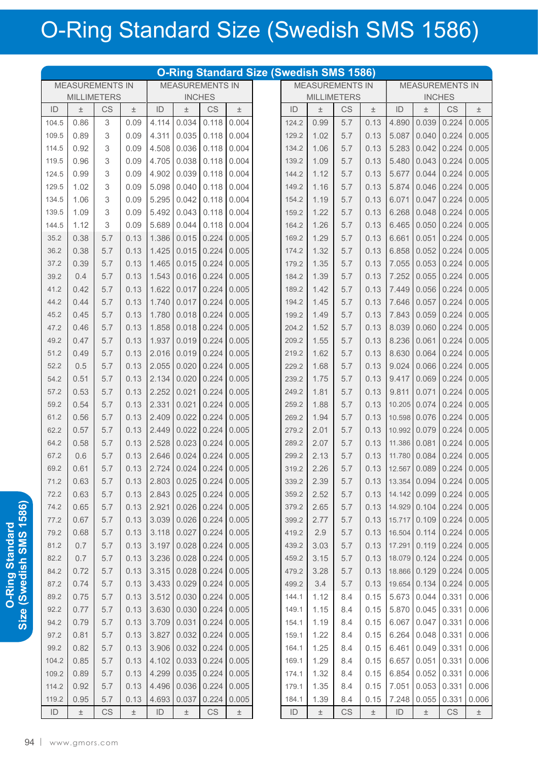## O-Ring Standard Size (Swedish SMS 1586)

| <b>O-Ring Standard Size (Swedish SMS 1586)</b> |              |           |       |                        |                |                     |       |                    |                |       |                        |              |                        |                |                                         |       |
|------------------------------------------------|--------------|-----------|-------|------------------------|----------------|---------------------|-------|--------------------|----------------|-------|------------------------|--------------|------------------------|----------------|-----------------------------------------|-------|
| <b>MEASUREMENTS IN</b>                         |              |           |       | <b>MEASUREMENTS IN</b> |                |                     |       |                    |                |       | <b>MEASUREMENTS IN</b> |              | <b>MEASUREMENTS IN</b> |                |                                         |       |
| <b>MILLIMETERS</b>                             |              |           |       | <b>INCHES</b>          |                |                     |       | <b>MILLIMETERS</b> |                |       | <b>INCHES</b>          |              |                        |                |                                         |       |
| ID                                             | $\pm$        | CS        | $\pm$ | ID                     | $\pm$          | <b>CS</b>           | $\pm$ |                    | ID             | $\pm$ | CS                     | $\pm$        | ID                     | $\pm$          | CS                                      | $\pm$ |
| 104.5                                          | 0.86         | 3         | 0.09  | 4.114                  | 0.034          | 0.118               | 0.004 |                    | 124.2          | 0.99  | 5.7                    | 0.13         | 4.890                  | 0.039          | 0.224                                   | 0.005 |
| 109.5                                          | 0.89         | 3         | 0.09  | 4.311                  | 0.035          | 0.118               | 0.004 |                    | 129.2          | 1.02  | 5.7                    | 0.13         | 5.087                  | 0.040          | 0.224                                   | 0.005 |
| 114.5                                          | 0.92         | 3         | 0.09  | 4.508                  | 0.036          | 0.118               | 0.004 |                    | 134.2          | 1.06  | 5.7                    | 0.13         | 5.283                  | 0.042          | 0.224                                   | 0.005 |
| 119.5                                          | 0.96         | 3         | 0.09  | 4.705                  | 0.038          | 0.118               | 0.004 |                    | 139.2          | 1.09  | 5.7                    | 0.13         | 5.480                  | 0.043          | 0.224                                   | 0.005 |
| 124.5                                          | 0.99         | 3         | 0.09  | 4.902                  | 0.039          | 0.118               | 0.004 |                    | 144.2          | 1.12  | 5.7                    | 0.13         | 5.677                  | 0.044          | 0.224                                   | 0.005 |
| 129.5                                          | 1.02         | 3         | 0.09  | 5.098                  | 0.040          | 0.118               | 0.004 |                    | 149.2          | 1.16  | 5.7                    | 0.13         | 5.874                  | 0.046          | 0.224                                   | 0.005 |
| 134.5                                          | 1.06         | 3         | 0.09  | 5.295                  | 0.042          | 0.118               | 0.004 |                    | 154.2          | 1.19  | 5.7                    | 0.13         | 6.071                  | 0.047          | 0.224                                   | 0.005 |
| 139.5                                          | 1.09         | 3         | 0.09  | 5.492                  | 0.043          | 0.118               | 0.004 |                    | 159.2          | 1.22  | 5.7                    | 0.13         | 6.268                  | 0.048          | 0.224                                   | 0.005 |
| 144.5                                          | 1.12         | 3         | 0.09  | 5.689                  | 0.044          | 0.118               | 0.004 |                    | 164.2          | 1.26  | 5.7                    | 0.13         | 6.465                  | 0.050          | 0.224                                   | 0.005 |
| 35.2                                           | 0.38         | 5.7       | 0.13  | 1.386                  | 0.015          | 0.224               | 0.005 |                    | 169.2          | 1.29  | 5.7                    | 0.13         | 6.661                  | 0.051          | 0.224                                   | 0.005 |
| 36.2                                           | 0.38         | 5.7       | 0.13  | 1.425                  | 0.015          | 0.224               | 0.005 |                    | 174.2          | 1.32  | 5.7                    | 0.13         | 6.858                  | 0.052          | 0.224                                   | 0.005 |
| 37.2                                           | 0.39         | 5.7       | 0.13  | 1.465                  | 0.015          | 0.224               | 0.005 |                    | 179.2          | 1.35  | 5.7                    | 0.13         | 7.055                  | 0.053          | 0.224                                   | 0.005 |
| 39.2                                           | 0.4          | 5.7       | 0.13  | 1.543                  | 0.016          | 0.224               | 0.005 |                    | 184.2          | 1.39  | 5.7                    | 0.13         | 7.252                  | 0.055          | 0.224                                   | 0.005 |
| 41.2                                           | 0.42         | 5.7       | 0.13  | 1.622                  | 0.017          | 0.224               | 0.005 |                    | 189.2          | 1.42  | 5.7                    | 0.13         | 7.449                  | 0.056          | 0.224                                   | 0.005 |
| 44.2                                           | 0.44         | 5.7       | 0.13  | 1.740                  | 0.017          | 0.224               | 0.005 |                    | 194.2          | 1.45  | 5.7                    | 0.13         | 7.646                  | 0.057          | 0.224                                   | 0.005 |
| 45.2                                           | 0.45         | 5.7       | 0.13  | 1.780                  | 0.018          | 0.224               | 0.005 |                    | 199.2          | 1.49  | 5.7                    | 0.13         | 7.843                  | 0.059          | 0.224                                   | 0.005 |
| 47.2                                           | 0.46         | 5.7       | 0.13  | 1.858                  | 0.018          | 0.224               | 0.005 |                    | 204.2          | 1.52  | 5.7                    | 0.13         | 8.039                  | 0.060          | 0.224                                   | 0.005 |
| 49.2                                           | 0.47         | 5.7       | 0.13  | 1.937                  | 0.019          | 0.224               | 0.005 |                    | 209.2          | 1.55  | 5.7                    | 0.13         | 8.236                  | 0.061          | 0.224                                   | 0.005 |
| 51.2                                           | 0.49         | 5.7       | 0.13  | 2.016                  | 0.019          | 0.224               | 0.005 |                    | 219.2          | 1.62  | 5.7                    | 0.13         | 8.630                  | 0.064          | 0.224                                   | 0.005 |
| 52.2                                           | 0.5          | 5.7       | 0.13  | 2.055                  | 0.020          | 0.224               | 0.005 |                    | 229.2          | 1.68  | 5.7                    | 0.13         | 9.024                  | 0.066          | 0.224                                   | 0.005 |
| 54.2                                           | 0.51         | 5.7       | 0.13  | 2.134                  | 0.020          | 0.224               | 0.005 |                    | 239.2          | 1.75  | 5.7                    | 0.13         | 9.417                  | 0.069          | 0.224                                   | 0.005 |
| 57.2                                           | 0.53         | 5.7       | 0.13  | 2.252                  | 0.021          | 0.224               | 0.005 |                    | 249.2          | 1.81  | 5.7                    | 0.13         | 9.811                  | 0.071          | 0.224                                   | 0.005 |
| 59.2                                           | 0.54         | 5.7       | 0.13  | 2.331                  | 0.021          | 0.224               | 0.005 |                    | 259.2          | 1.88  | 5.7                    | 0.13         | 10.205                 | 0.074          | 0.224                                   | 0.005 |
| 61.2                                           | 0.56         | 5.7       | 0.13  | 2.409                  | 0.022          | 0.224               | 0.005 |                    | 269.2          | 1.94  | 5.7                    | 0.13         | 10.598                 | 0.076          | 0.224                                   | 0.005 |
| 62.2                                           | 0.57         | 5.7       | 0.13  | 2.449                  | 0.022          | 0.224               | 0.005 |                    | 279.2          | 2.01  | 5.7                    | 0.13         | 10.992                 | 0.079          | 0.224                                   | 0.005 |
| 64.2                                           | 0.58         | 5.7       | 0.13  | 2.528                  | 0.023          | 0.224               | 0.005 |                    | 289.2          | 2.07  | 5.7                    | 0.13         | 11.386                 | 0.081          | 0.224                                   | 0.005 |
| 67.2                                           | 0.6          | 5.7       | 0.13  | 2.646                  | 0.024          | 0.224               | 0.005 |                    | 299.2          | 2.13  | 5.7                    | 0.13         | 11.780                 | 0.084          | 0.224                                   | 0.005 |
| 69.2                                           | 0.61         | 5.7       | 0.13  | 2.724                  |                | $0.024$ 0.224 0.005 |       |                    | 319.2          | 2.26  | 5.7                    |              |                        |                | $0.13$   12.567   0.089   0.224   0.005 |       |
| 71.2                                           |              | 5.7       |       | 2.803                  |                |                     |       |                    | 339.2          |       |                        |              |                        | 13.354 0.094   |                                         | 0.005 |
|                                                | 0.63         | 5.7       | 0.13  | 2.843                  | 0.025          | 0.224               | 0.005 |                    |                | 2.39  | 5.7                    | 0.13<br>0.13 |                        | 14.142 0.099   | 0.224                                   | 0.005 |
| 72.2<br>74.2                                   | 0.63<br>0.65 | 5.7       | 0.13  | 2.921                  | 0.025<br>0.026 | 0.224               | 0.005 |                    | 359.2          | 2.52  | 5.7                    | 0.13         |                        | 14.929 0.104   | 0.224                                   | 0.005 |
| 77.2                                           |              | 5.7       | 0.13  | 3.039                  | 0.026          | 0.224<br>0.224      | 0.005 |                    | 379.2          | 2.65  | 5.7                    | 0.13         |                        | 15.717 0.109   | 0.224<br>0.224                          | 0.005 |
| 79.2                                           | 0.67         | 5.7       | 0.13  | 3.118                  |                |                     | 0.005 |                    | 399.2<br>419.2 | 2.77  | 5.7                    | 0.13         |                        | $16.504$ 0.114 |                                         |       |
|                                                | 0.68         |           | 0.13  |                        | 0.027          | 0.224               | 0.005 |                    |                | 2.9   | 5.7                    |              |                        |                | 0.224                                   | 0.005 |
| 81.2                                           | 0.7          | 5.7       | 0.13  | 3.197                  | 0.028          | 0.224               | 0.005 |                    | 439.2          | 3.03  | 5.7                    | 0.13         |                        | 17.291 0.119   | 0.224                                   | 0.005 |
| 82.2                                           | 0.7          | 5.7       | 0.13  | 3.236                  | 0.028          | 0.224               | 0.005 |                    | 459.2          | 3.15  | 5.7                    | 0.13         |                        | 18.079 0.124   | 0.224                                   | 0.005 |
| 84.2                                           | 0.72         | 5.7       | 0.13  | 3.315                  | 0.028          | 0.224               | 0.005 |                    | 479.2          | 3.28  | 5.7                    | 0.13         |                        | 18.866 0.129   | 0.224                                   | 0.005 |
| 87.2                                           | 0.74         | 5.7       | 0.13  | 3.433                  | 0.029          | 0.224               | 0.005 |                    | 499.2          | 3.4   | 5.7                    | 0.13         |                        | 19.654 0.134   | 0.224                                   | 0.005 |
| 89.2                                           | 0.75         | 5.7       | 0.13  | 3.512                  | 0.030          | 0.224               | 0.005 |                    | 144.1          | 1.12  | 8.4                    | 0.15         | 5.673                  | 0.044          | 0.331                                   | 0.006 |
| 92.2                                           | 0.77         | 5.7       | 0.13  | 3.630                  | 0.030          | 0.224               | 0.005 |                    | 149.1          | 1.15  | 8.4                    | 0.15         | 5.870                  | 0.045          | 0.331                                   | 0.006 |
| 94.2                                           | 0.79         | 5.7       | 0.13  | 3.709                  | 0.031          | 0.224               | 0.005 |                    | 154.1          | 1.19  | 8.4                    | 0.15         | 6.067                  | 0.047          | 0.331                                   | 0.006 |
| 97.2                                           | 0.81         | 5.7       | 0.13  | 3.827                  | 0.032          | 0.224               | 0.005 |                    | 159.1          | 1.22  | 8.4                    | 0.15         | 6.264                  | 0.048          | 0.331                                   | 0.006 |
| 99.2                                           | 0.82         | 5.7       | 0.13  | 3.906                  | 0.032          | 0.224               | 0.005 |                    | 164.1          | 1.25  | 8.4                    | 0.15         | 6.461                  | 0.049          | 0.331                                   | 0.006 |
| 104.2                                          | 0.85         | 5.7       | 0.13  | 4.102                  | 0.033          | 0.224               | 0.005 |                    | 169.1          | 1.29  | 8.4                    | 0.15         | 6.657                  | 0.051          | 0.331                                   | 0.006 |
| 109.2                                          | 0.89         | 5.7       | 0.13  | 4.299                  | 0.035          | 0.224               | 0.005 |                    | 174.1          | 1.32  | 8.4                    | 0.15         | 6.854                  | 0.052          | 0.331                                   | 0.006 |
| 114.2                                          | 0.92         | 5.7       | 0.13  | 4.496                  | 0.036          | 0.224               | 0.005 |                    | 179.1          | 1.35  | 8.4                    | 0.15         | 7.051                  | 0.053          | 0.331                                   | 0.006 |
| 119.2                                          | 0.95         | 5.7       | 0.13  | 4.693                  | 0.037          | 0.224               | 0.005 |                    | 184.1          | 1.39  | 8.4                    | 0.15         | 7.248                  | 0.055          | 0.331                                   | 0.006 |
| ID                                             | $\pm$        | <b>CS</b> | $\pm$ | ID                     | $\pm$          | CS                  | $\pm$ |                    | ID             | $\pm$ | CS                     | $\pm$        | ID                     | $\pm$          | CS                                      | $\pm$ |